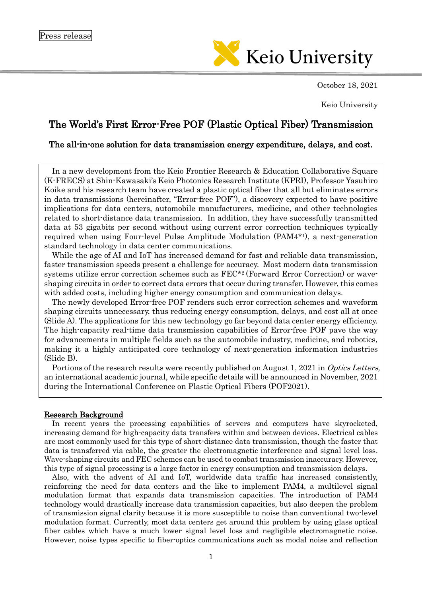

October 18, 2021

Keio University

# The World's First Error-Free POF (Plastic Optical Fiber) Transmission

## The all-in-one solution for data transmission energy expenditure, delays, and cost.

In a new development from the Keio Frontier Research & Education Collaborative Square (K-FRECS) at Shin-Kawasaki's Keio Photonics Research Institute (KPRI), Professor Yasuhiro Koike and his research team have created a plastic optical fiber that all but eliminates errors in data transmissions (hereinafter, "Error-free POF"), a discovery expected to have positive implications for data centers, automobile manufacturers, medicine, and other technologies related to short-distance data transmission. In addition, they have successfully transmitted data at 53 gigabits per second without using current error correction techniques typically required when using Four-level Pulse Amplitude Modulation (PAM4\*<sup>1</sup> ), a next-generation standard technology in data center communications.

While the age of AI and IoT has increased demand for fast and reliable data transmission, faster transmission speeds present a challenge for accuracy. Most modern data transmission systems utilize error correction schemes such as FEC\*<sup>2</sup> (Forward Error Correction) or waveshaping circuits in order to correct data errors that occur during transfer. However, this comes with added costs, including higher energy consumption and communication delays.

The newly developed Error-free POF renders such error correction schemes and waveform shaping circuits unnecessary, thus reducing energy consumption, delays, and cost all at once (Slide A). The applications for this new technology go far beyond data center energy efficiency. The high-capacity real-time data transmission capabilities of Error-free POF pave the way for advancements in multiple fields such as the automobile industry, medicine, and robotics, making it a highly anticipated core technology of next-generation information industries (Slide B).

Portions of the research results were recently published on August 1, 2021 in Optics Letters, an international academic journal, while specific details will be announced in November, 2021 during the International Conference on Plastic Optical Fibers (POF2021).

### Research Background

In recent years the processing capabilities of servers and computers have skyrocketed, increasing demand for high-capacity data transfers within and between devices. Electrical cables are most commonly used for this type of short-distance data transmission, though the faster that data is transferred via cable, the greater the electromagnetic interference and signal level loss. Wave-shaping circuits and FEC schemes can be used to combat transmission inaccuracy. However, this type of signal processing is a large factor in energy consumption and transmission delays.

Also, with the advent of AI and IoT, worldwide data traffic has increased consistently, reinforcing the need for data centers and the like to implement PAM4, a multilevel signal modulation format that expands data transmission capacities. The introduction of PAM4 technology would drastically increase data transmission capacities, but also deepen the problem of transmission signal clarity because it is more susceptible to noise than conventional two-level modulation format. Currently, most data centers get around this problem by using glass optical fiber cables which have a much lower signal level loss and negligible electromagnetic noise. However, noise types specific to fiber-optics communications such as modal noise and reflection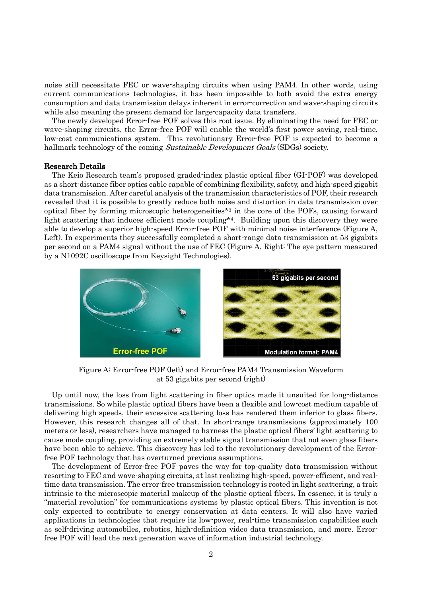noise still necessitate FEC or wave-shaping circuits when using PAM4. In other words, using current communications technologies, it has been impossible to both avoid the extra energy consumption and data transmission delays inherent in error-correction and wave-shaping circuits while also meaning the present demand for large-capacity data transfers.

The newly developed Error-free POF solves this root issue. By eliminating the need for FEC or wave-shaping circuits, the Error-free POF will enable the world's first power saving, real-time, low-cost communications system. This revolutionary Error-free POF is expected to become a hallmark technology of the coming Sustainable Development Goals (SDGs) society.

#### Research Details

The Keio Research team's proposed graded-index plastic optical fiber (GI-POF) was developed as a short-distance fiber optics cable capable of combining flexibility, safety, and high-speed gigabit data transmission. After careful analysis of the transmission characteristics of POF, their research revealed that it is possible to greatly reduce both noise and distortion in data transmission over optical fiber by forming microscopic heterogeneities\*<sup>3</sup> in the core of the POFs, causing forward light scattering that induces efficient mode coupling<sup>\*4</sup>. Building upon this discovery they were able to develop a superior high-speed Error-free POF with minimal noise interference (Figure A, Left). In experiments they successfully completed a short-range data transmission at 53 gigabits per second on a PAM4 signal without the use of FEC (Figure A, Right: The eye pattern measured by a N1092C oscilloscope from Keysight Technologies).



Figure A: Error-free POF (left) and Error-free PAM4 Transmission Waveform at 53 gigabits per second (right)

Up until now, the loss from light scattering in fiber optics made it unsuited for long-distance transmissions. So while plastic optical fibers have been a flexible and low-cost medium capable of delivering high speeds, their excessive scattering loss has rendered them inferior to glass fibers. However, this research changes all of that. In short-range transmissions (approximately 100 meters or less), researchers have managed to harness the plastic optical fibers' light scattering to cause mode coupling, providing an extremely stable signal transmission that not even glass fibers have been able to achieve. This discovery has led to the revolutionary development of the Errorfree POF technology that has overturned previous assumptions.

The development of Error-free POF paves the way for top-quality data transmission without resorting to FEC and wave-shaping circuits, at last realizing high-speed, power-efficient, and realtime data transmission. The error-free transmission technology is rooted in light scattering, a trait intrinsic to the microscopic material makeup of the plastic optical fibers. In essence, it is truly a "material revolution" for communications systems by plastic optical fibers. This invention is not only expected to contribute to energy conservation at data centers. It will also have varied applications in technologies that require its low-power, real-time transmission capabilities such as self-driving automobiles, robotics, high-definition video data transmission, and more. Errorfree POF will lead the next generation wave of information industrial technology.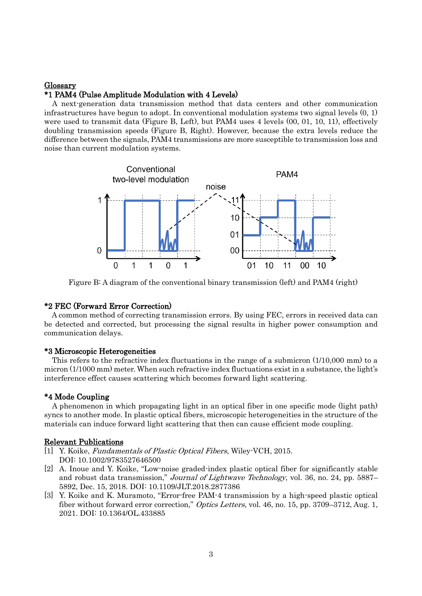## Glossary \*1 PAM4 (Pulse Amplitude Modulation with 4 Levels)

A next-generation data transmission method that data centers and other communication infrastructures have begun to adopt. In conventional modulation systems two signal levels (0, 1) were used to transmit data (Figure B, Left), but PAM4 uses 4 levels (00, 01, 10, 11), effectively doubling transmission speeds (Figure B, Right). However, because the extra levels reduce the difference between the signals, PAM4 transmissions are more susceptible to transmission loss and noise than current modulation systems.



Figure B: A diagram of the conventional binary transmission (left) and PAM4 (right)

## \*2 FEC (Forward Error Correction)

A common method of correcting transmission errors. By using FEC, errors in received data can be detected and corrected, but processing the signal results in higher power consumption and communication delays.

## \*3 Microscopic Heterogeneities

This refers to the refractive index fluctuations in the range of a submicron (1/10,000 mm) to a micron (1/1000 mm) meter. When such refractive index fluctuations exist in a substance, the light's interference effect causes scattering which becomes forward light scattering.

## \*4 Mode Coupling

A phenomenon in which propagating light in an optical fiber in one specific mode (light path) syncs to another mode. In plastic optical fibers, microscopic heterogeneities in the structure of the materials can induce forward light scattering that then can cause efficient mode coupling.

### Relevant Publications

- [1] Y. Koike, *Fundamentals of Plastic Optical Fibers*, Wiley-VCH, 2015. DOI: 10.1002/9783527646500
- [2] A. Inoue and Y. Koike, "Low-noise graded-index plastic optical fiber for significantly stable and robust data transmission," Journal of Lightwave Technology, vol. 36, no. 24, pp. 5887– 5892, Dec. 15, 2018. DOI: 10.1109/JLT.2018.2877386
- [3] Y. Koike and K. Muramoto, "Error-free PAM-4 transmission by a high-speed plastic optical fiber without forward error correction," Optics Letters, vol. 46, no. 15, pp. 3709-3712, Aug. 1, 2021. DOI: 10.1364/OL.433885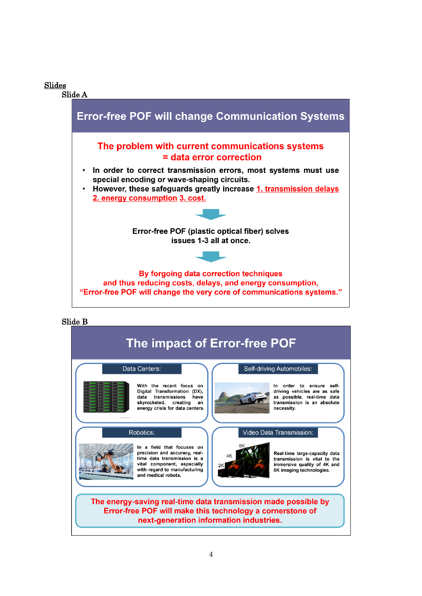Slides

Slide A



## Slide B